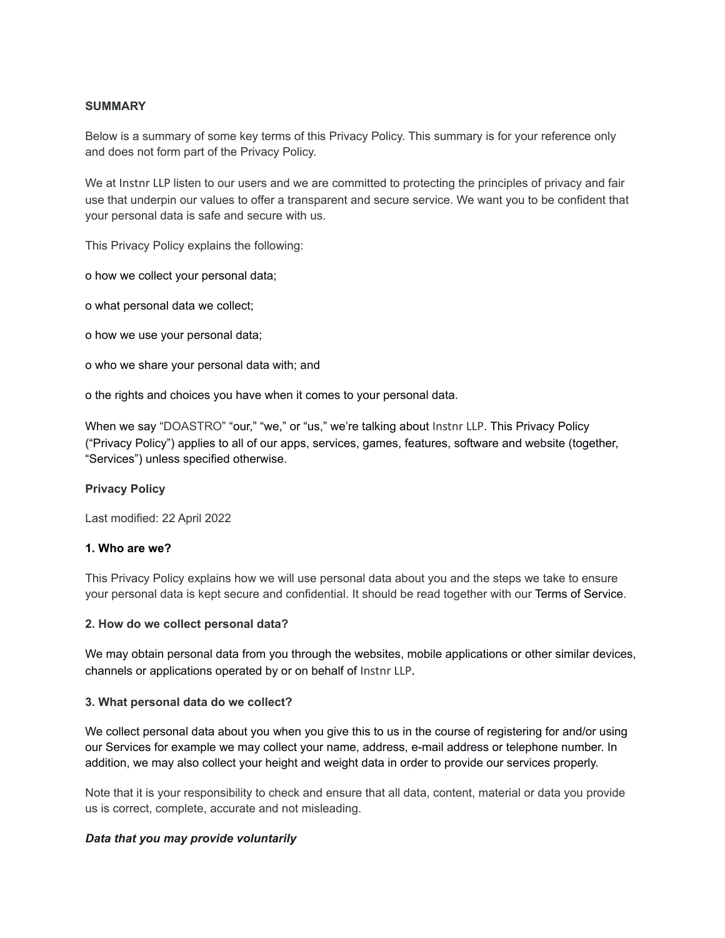## **SUMMARY**

Below is a summary of some key terms of this Privacy Policy. This summary is for your reference only and does not form part of the Privacy Policy.

We at Instnr LLP listen to our users and we are committed to protecting the principles of privacy and fair use that underpin our values to offer a transparent and secure service. We want you to be confident that your personal data is safe and secure with us.

This Privacy Policy explains the following:

o how we collect your personal data;

o what personal data we collect;

o how we use your personal data;

o who we share your personal data with; and

o the rights and choices you have when it comes to your personal data.

When we say "DOASTRO" "our," "we," or "us," we're talking about Instnr LLP. This Privacy Policy ("Privacy Policy") applies to all of our apps, services, games, features, software and website (together, "Services") unless specified otherwise.

## **Privacy Policy**

Last modified: 22 April 2022

## **1. Who are we?**

This Privacy Policy explains how we will use personal data about you and the steps we take to ensure your personal data is kept secure and confidential. It should be read together with our Terms of Service.

#### **2. How do we collect personal data?**

We may obtain personal data from you through the websites, mobile applications or other similar devices, channels or applications operated by or on behalf of Instnr LLP.

#### **3. What personal data do we collect?**

We collect personal data about you when you give this to us in the course of registering for and/or using our Services for example we may collect your name, address, e-mail address or telephone number. In addition, we may also collect your height and weight data in order to provide our services properly.

Note that it is your responsibility to check and ensure that all data, content, material or data you provide us is correct, complete, accurate and not misleading.

#### *Data that you may provide voluntarily*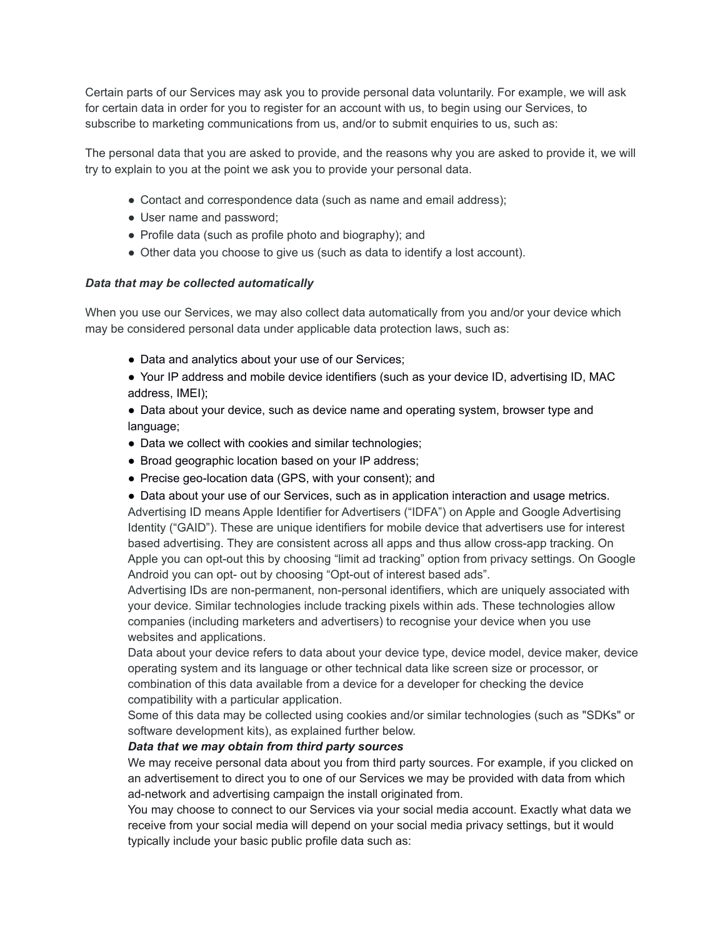Certain parts of our Services may ask you to provide personal data voluntarily. For example, we will ask for certain data in order for you to register for an account with us, to begin using our Services, to subscribe to marketing communications from us, and/or to submit enquiries to us, such as:

The personal data that you are asked to provide, and the reasons why you are asked to provide it, we will try to explain to you at the point we ask you to provide your personal data.

- Contact and correspondence data (such as name and email address);
- User name and password;
- Profile data (such as profile photo and biography); and
- Other data you choose to give us (such as data to identify a lost account).

#### *Data that may be collected automatically*

When you use our Services, we may also collect data automatically from you and/or your device which may be considered personal data under applicable data protection laws, such as:

- Data and analytics about your use of our Services;
- Your IP address and mobile device identifiers (such as your device ID, advertising ID, MAC address, IMEI);
- Data about your device, such as device name and operating system, browser type and language;
- Data we collect with cookies and similar technologies;
- Broad geographic location based on your IP address;
- Precise geo-location data (GPS, with your consent); and

• Data about your use of our Services, such as in application interaction and usage metrics. Advertising ID means Apple Identifier for Advertisers ("IDFA") on Apple and Google Advertising Identity ("GAID"). These are unique identifiers for mobile device that advertisers use for interest based advertising. They are consistent across all apps and thus allow cross-app tracking. On Apple you can opt-out this by choosing "limit ad tracking" option from privacy settings. On Google Android you can opt- out by choosing "Opt-out of interest based ads".

Advertising IDs are non-permanent, non-personal identifiers, which are uniquely associated with your device. Similar technologies include tracking pixels within ads. These technologies allow companies (including marketers and advertisers) to recognise your device when you use websites and applications.

Data about your device refers to data about your device type, device model, device maker, device operating system and its language or other technical data like screen size or processor, or combination of this data available from a device for a developer for checking the device compatibility with a particular application.

Some of this data may be collected using cookies and/or similar technologies (such as "SDKs" or software development kits), as explained further below.

#### *Data that we may obtain from third party sources*

We may receive personal data about you from third party sources. For example, if you clicked on an advertisement to direct you to one of our Services we may be provided with data from which ad-network and advertising campaign the install originated from.

You may choose to connect to our Services via your social media account. Exactly what data we receive from your social media will depend on your social media privacy settings, but it would typically include your basic public profile data such as: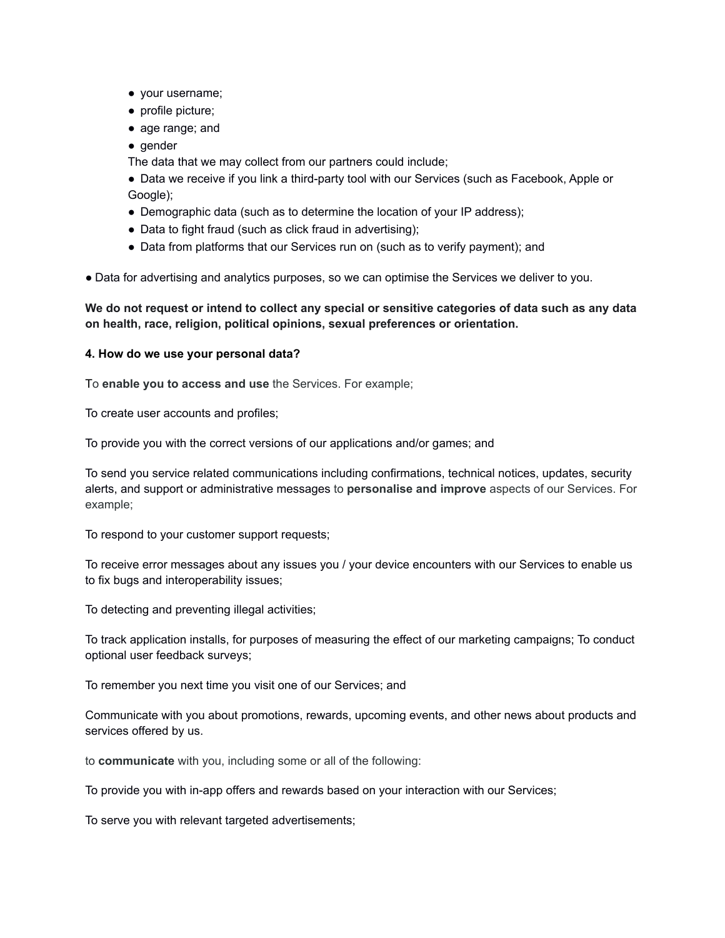- your username;
- profile picture;
- age range; and
- gender

The data that we may collect from our partners could include;

● Data we receive if you link a third-party tool with our Services (such as Facebook, Apple or Google);

- Demographic data (such as to determine the location of your IP address);
- Data to fight fraud (such as click fraud in advertising);
- Data from platforms that our Services run on (such as to verify payment); and

● Data for advertising and analytics purposes, so we can optimise the Services we deliver to you.

We do not request or intend to collect any special or sensitive categories of data such as any data **on health, race, religion, political opinions, sexual preferences or orientation.**

#### **4. How do we use your personal data?**

To **enable you to access and use** the Services. For example;

To create user accounts and profiles;

To provide you with the correct versions of our applications and/or games; and

To send you service related communications including confirmations, technical notices, updates, security alerts, and support or administrative messages to **personalise and improve** aspects of our Services. For example;

To respond to your customer support requests;

To receive error messages about any issues you / your device encounters with our Services to enable us to fix bugs and interoperability issues;

To detecting and preventing illegal activities;

To track application installs, for purposes of measuring the effect of our marketing campaigns; To conduct optional user feedback surveys;

To remember you next time you visit one of our Services; and

Communicate with you about promotions, rewards, upcoming events, and other news about products and services offered by us.

to **communicate** with you, including some or all of the following:

To provide you with in-app offers and rewards based on your interaction with our Services;

To serve you with relevant targeted advertisements;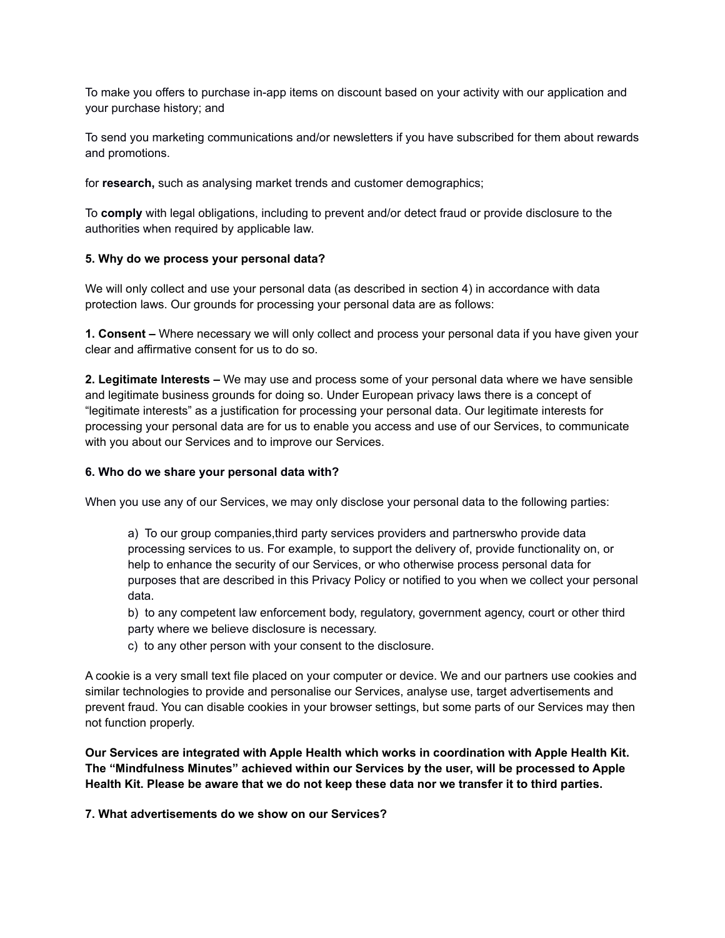To make you offers to purchase in-app items on discount based on your activity with our application and your purchase history; and

To send you marketing communications and/or newsletters if you have subscribed for them about rewards and promotions.

for **research,** such as analysing market trends and customer demographics;

To **comply** with legal obligations, including to prevent and/or detect fraud or provide disclosure to the authorities when required by applicable law.

## **5. Why do we process your personal data?**

We will only collect and use your personal data (as described in section 4) in accordance with data protection laws. Our grounds for processing your personal data are as follows:

**1. Consent –** Where necessary we will only collect and process your personal data if you have given your clear and affirmative consent for us to do so.

**2. Legitimate Interests –** We may use and process some of your personal data where we have sensible and legitimate business grounds for doing so. Under European privacy laws there is a concept of "legitimate interests" as a justification for processing your personal data. Our legitimate interests for processing your personal data are for us to enable you access and use of our Services, to communicate with you about our Services and to improve our Services.

### **6. Who do we share your personal data with?**

When you use any of our Services, we may only disclose your personal data to the following parties:

a) To our group companies,third party services providers and partnerswho provide data processing services to us. For example, to support the delivery of, provide functionality on, or help to enhance the security of our Services, or who otherwise process personal data for purposes that are described in this Privacy Policy or notified to you when we collect your personal data.

b) to any competent law enforcement body, regulatory, government agency, court or other third party where we believe disclosure is necessary.

c) to any other person with your consent to the disclosure.

A cookie is a very small text file placed on your computer or device. We and our partners use cookies and similar technologies to provide and personalise our Services, analyse use, target advertisements and prevent fraud. You can disable cookies in your browser settings, but some parts of our Services may then not function properly.

**Our Services are integrated with Apple Health which works in coordination with Apple Health Kit. The "Mindfulness Minutes" achieved within our Services by the user, will be processed to Apple** Health Kit. Please be aware that we do not keep these data nor we transfer it to third parties.

**7. What advertisements do we show on our Services?**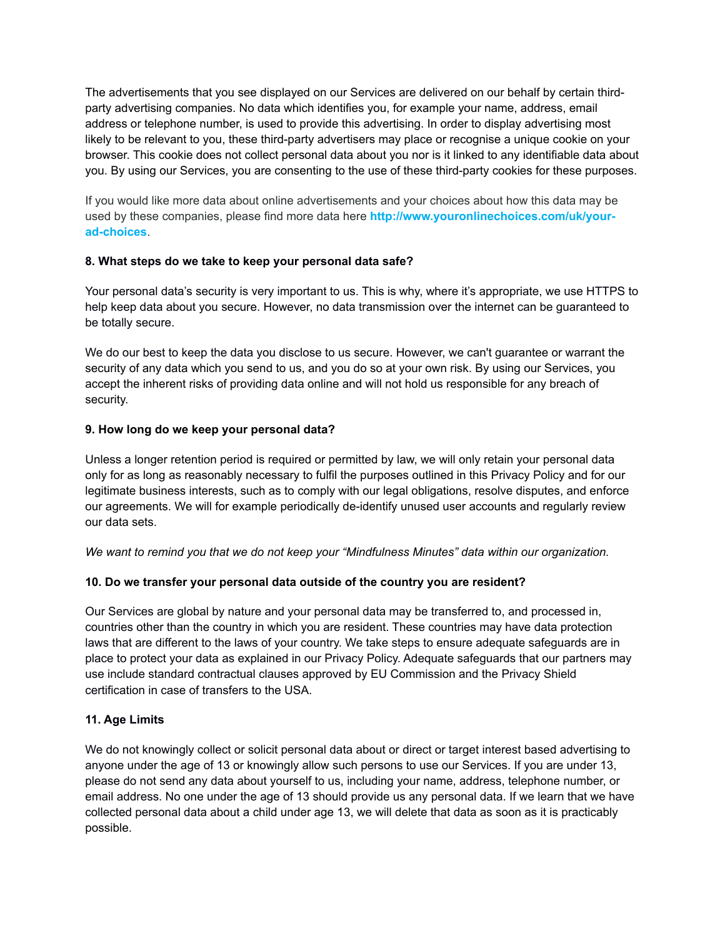The advertisements that you see displayed on our Services are delivered on our behalf by certain thirdparty advertising companies. No data which identifies you, for example your name, address, email address or telephone number, is used to provide this advertising. In order to display advertising most likely to be relevant to you, these third-party advertisers may place or recognise a unique cookie on your browser. This cookie does not collect personal data about you nor is it linked to any identifiable data about you. By using our Services, you are consenting to the use of these third-party cookies for these purposes.

If you would like more data about online advertisements and your choices about how this data may be used by these companies, please find more data here **http://www.youronlinechoices.com/uk/yourad-choices**.

# **8. What steps do we take to keep your personal data safe?**

Your personal data's security is very important to us. This is why, where it's appropriate, we use HTTPS to help keep data about you secure. However, no data transmission over the internet can be guaranteed to be totally secure.

We do our best to keep the data you disclose to us secure. However, we can't guarantee or warrant the security of any data which you send to us, and you do so at your own risk. By using our Services, you accept the inherent risks of providing data online and will not hold us responsible for any breach of security.

# **9. How long do we keep your personal data?**

Unless a longer retention period is required or permitted by law, we will only retain your personal data only for as long as reasonably necessary to fulfil the purposes outlined in this Privacy Policy and for our legitimate business interests, such as to comply with our legal obligations, resolve disputes, and enforce our agreements. We will for example periodically de-identify unused user accounts and regularly review our data sets.

*We want to remind you that we do not keep your "Mindfulness Minutes" data within our organization.*

# **10. Do we transfer your personal data outside of the country you are resident?**

Our Services are global by nature and your personal data may be transferred to, and processed in, countries other than the country in which you are resident. These countries may have data protection laws that are different to the laws of your country. We take steps to ensure adequate safeguards are in place to protect your data as explained in our Privacy Policy. Adequate safeguards that our partners may use include standard contractual clauses approved by EU Commission and the Privacy Shield certification in case of transfers to the USA.

## **11. Age Limits**

We do not knowingly collect or solicit personal data about or direct or target interest based advertising to anyone under the age of 13 or knowingly allow such persons to use our Services. If you are under 13, please do not send any data about yourself to us, including your name, address, telephone number, or email address. No one under the age of 13 should provide us any personal data. If we learn that we have collected personal data about a child under age 13, we will delete that data as soon as it is practicably possible.